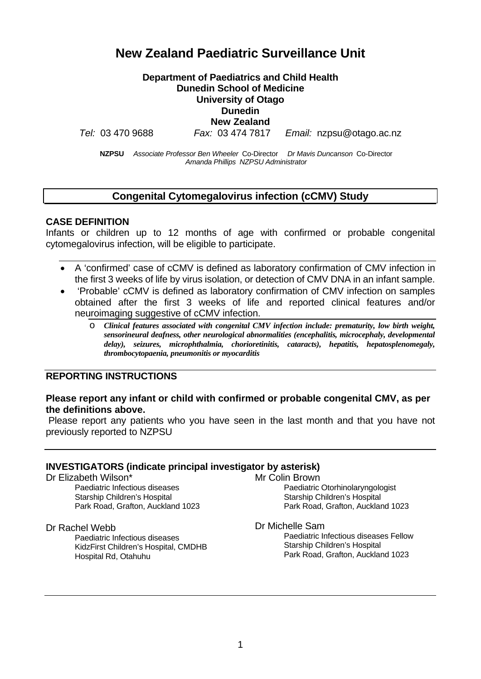# **New Zealand Paediatric Surveillance Unit**

#### **Department of Paediatrics and Child Health Dunedin School of Medicine University of Otago Dunedin New Zealand**

*Tel:* 03 470 9688 *Fax:* 03 474 7817 *Email:* nzpsu@otago.ac.nz

**NZPSU** *Associate Professor Ben Wheeler* Co-Director *Dr Mavis Duncanson* Co-Director *Amanda Phillips NZPSU Administrator*

# **Congenital Cytomegalovirus infection (cCMV) Study**

#### **CASE DEFINITION**

Infants or children up to 12 months of age with confirmed or probable congenital cytomegalovirus infection, will be eligible to participate.

- A 'confirmed' case of cCMV is defined as laboratory confirmation of CMV infection in the first 3 weeks of life by virus isolation, or detection of CMV DNA in an infant sample.
- 'Probable' cCMV is defined as laboratory confirmation of CMV infection on samples obtained after the first 3 weeks of life and reported clinical features and/or neuroimaging suggestive of cCMV infection.
	- o *Clinical features associated with congenital CMV infection include: prematurity, low birth weight, sensorineural deafness, other neurological abnormalities (encephalitis, microcephaly, developmental delay), seizures, microphthalmia, chorioretinitis, cataracts), hepatitis, hepatosplenomegaly, thrombocytopaenia, pneumonitis or myocarditis*

#### **REPORTING INSTRUCTIONS**

#### **Please report any infant or child with confirmed or probable congenital CMV, as per the definitions above.**

Please report any patients who you have seen in the last month and that you have not previously reported to NZPSU

#### **INVESTIGATORS (indicate principal investigator by asterisk)**

Dr Elizabeth Wilson\* Paediatric Infectious diseases Starship Children's Hospital Park Road, Grafton, Auckland 1023

#### Dr Rachel Webb

Paediatric Infectious diseases KidzFirst Children's Hospital, CMDHB Hospital Rd, Otahuhu

Mr Colin Brown Paediatric Otorhinolaryngologist Starship Children's Hospital Park Road, Grafton, Auckland 1023

Dr Michelle Sam

Paediatric Infectious diseases Fellow Starship Children's Hospital Park Road, Grafton, Auckland 1023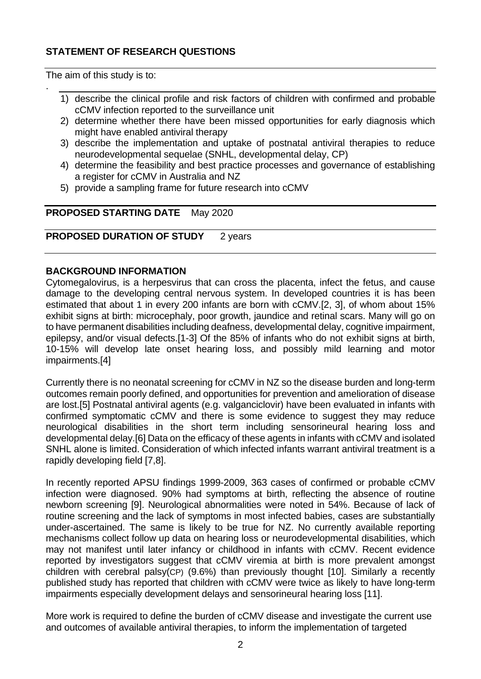# **STATEMENT OF RESEARCH QUESTIONS**

The aim of this study is to:

.

- 1) describe the clinical profile and risk factors of children with confirmed and probable cCMV infection reported to the surveillance unit
- 2) determine whether there have been missed opportunities for early diagnosis which might have enabled antiviral therapy
- 3) describe the implementation and uptake of postnatal antiviral therapies to reduce neurodevelopmental sequelae (SNHL, developmental delay, CP)
- 4) determine the feasibility and best practice processes and governance of establishing a register for cCMV in Australia and NZ
- 5) provide a sampling frame for future research into cCMV

#### **PROPOSED STARTING DATE** May 2020

# **PROPOSED DURATION OF STUDY** 2 years

#### **BACKGROUND INFORMATION**

Cytomegalovirus, is a herpesvirus that can cross the placenta, infect the fetus, and cause damage to the developing central nervous system. In developed countries it is has been estimated that about 1 in every 200 infants are born with cCMV.[\[2,](#page-3-0) [3\]](#page-3-1), of whom about 15% exhibit signs at birth: microcephaly, poor growth, jaundice and retinal scars. Many will go on to have permanent disabilities including deafness, developmental delay, cognitive impairment, epilepsy, and/or visual defects.[\[1-3\]](#page-3-2) Of the 85% of infants who do not exhibit signs at birth, 10-15% will develop late onset hearing loss, and possibly mild learning and motor impairments.[\[4\]](#page-3-3)

Currently there is no neonatal screening for cCMV in NZ so the disease burden and long-term outcomes remain poorly defined, and opportunities for prevention and amelioration of disease are lost.[\[5\]](#page-3-4) Postnatal antiviral agents (e.g. valganciclovir) have been evaluated in infants with confirmed symptomatic cCMV and there is some evidence to suggest they may reduce neurological disabilities in the short term including sensorineural hearing loss and developmental delay.[\[6\]](#page-3-5) Data on the efficacy of these agents in infants with cCMV and isolated SNHL alone is limited. Consideration of which infected infants warrant antiviral treatment is a rapidly developing field [7,8].

In recently reported APSU findings 1999-2009, 363 cases of confirmed or probable cCMV infection were diagnosed. 90% had symptoms at birth, reflecting the absence of routine newborn screening [9]. Neurological abnormalities were noted in 54%. Because of lack of routine screening and the lack of symptoms in most infected babies, cases are substantially under-ascertained. The same is likely to be true for NZ. No currently available reporting mechanisms collect follow up data on hearing loss or neurodevelopmental disabilities, which may not manifest until later infancy or childhood in infants with cCMV. Recent evidence reported by investigators suggest that cCMV viremia at birth is more prevalent amongst children with cerebral palsy(CP) (9.6%) than previously thought [\[10\]](#page-3-6). Similarly a recently published study has reported that children with cCMV were twice as likely to have long-term impairments especially development delays and sensorineural hearing loss [\[11\]](#page-3-7).

More work is required to define the burden of cCMV disease and investigate the current use and outcomes of available antiviral therapies, to inform the implementation of targeted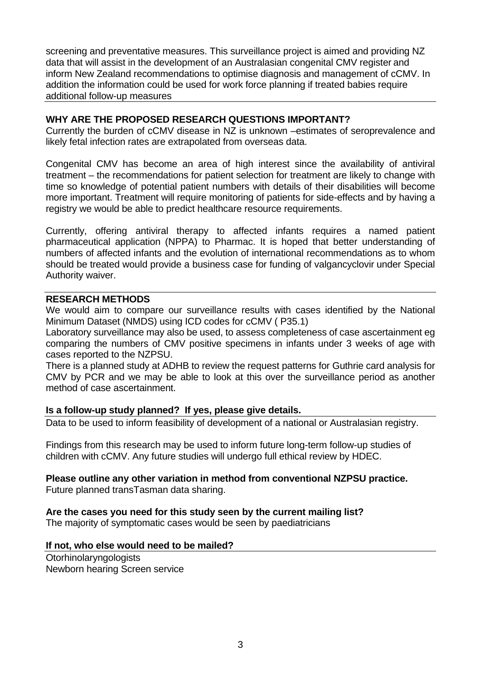screening and preventative measures. This surveillance project is aimed and providing NZ data that will assist in the development of an Australasian congenital CMV register and inform New Zealand recommendations to optimise diagnosis and management of cCMV. In addition the information could be used for work force planning if treated babies require additional follow-up measures

#### **WHY ARE THE PROPOSED RESEARCH QUESTIONS IMPORTANT?**

Currently the burden of cCMV disease in NZ is unknown –estimates of seroprevalence and likely fetal infection rates are extrapolated from overseas data.

Congenital CMV has become an area of high interest since the availability of antiviral treatment – the recommendations for patient selection for treatment are likely to change with time so knowledge of potential patient numbers with details of their disabilities will become more important. Treatment will require monitoring of patients for side-effects and by having a registry we would be able to predict healthcare resource requirements.

Currently, offering antiviral therapy to affected infants requires a named patient pharmaceutical application (NPPA) to Pharmac. It is hoped that better understanding of numbers of affected infants and the evolution of international recommendations as to whom should be treated would provide a business case for funding of valgancyclovir under Special Authority waiver.

#### **RESEARCH METHODS**

We would aim to compare our surveillance results with cases identified by the National Minimum Dataset (NMDS) using ICD codes for cCMV ( P35.1)

Laboratory surveillance may also be used, to assess completeness of case ascertainment eg comparing the numbers of CMV positive specimens in infants under 3 weeks of age with cases reported to the NZPSU.

There is a planned study at ADHB to review the request patterns for Guthrie card analysis for CMV by PCR and we may be able to look at this over the surveillance period as another method of case ascertainment.

#### **Is a follow-up study planned? If yes, please give details.**

Data to be used to inform feasibility of development of a national or Australasian registry.

Findings from this research may be used to inform future long-term follow-up studies of children with cCMV. Any future studies will undergo full ethical review by HDEC.

# **Please outline any other variation in method from conventional NZPSU practice.**

Future planned transTasman data sharing.

# **Are the cases you need for this study seen by the current mailing list?**

The majority of symptomatic cases would be seen by paediatricians

#### **If not, who else would need to be mailed?**

Otorhinolaryngologists Newborn hearing Screen service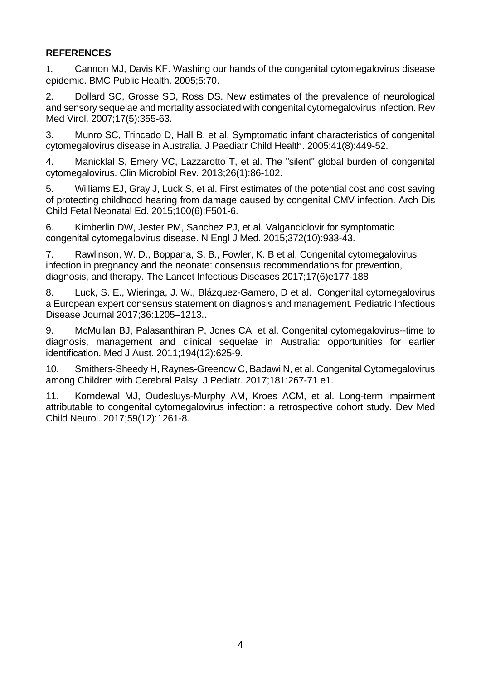# **REFERENCES**

<span id="page-3-2"></span>1. Cannon MJ, Davis KF. Washing our hands of the congenital cytomegalovirus disease epidemic. BMC Public Health. 2005;5:70.

<span id="page-3-0"></span>2. Dollard SC, Grosse SD, Ross DS. New estimates of the prevalence of neurological and sensory sequelae and mortality associated with congenital cytomegalovirus infection. Rev Med Virol. 2007;17(5):355-63.

<span id="page-3-1"></span>3. Munro SC, Trincado D, Hall B, et al. Symptomatic infant characteristics of congenital cytomegalovirus disease in Australia. J Paediatr Child Health. 2005;41(8):449-52.

<span id="page-3-3"></span>4. Manicklal S, Emery VC, Lazzarotto T, et al. The "silent" global burden of congenital cytomegalovirus. Clin Microbiol Rev. 2013;26(1):86-102.

<span id="page-3-4"></span>5. Williams EJ, Gray J, Luck S, et al. First estimates of the potential cost and cost saving of protecting childhood hearing from damage caused by congenital CMV infection. Arch Dis Child Fetal Neonatal Ed. 2015;100(6):F501-6.

<span id="page-3-5"></span>6. Kimberlin DW, Jester PM, Sanchez PJ, et al. Valganciclovir for symptomatic congenital cytomegalovirus disease. N Engl J Med. 2015;372(10):933-43.

7. Rawlinson, W. D., Boppana, S. B., Fowler, K. B et al, Congenital cytomegalovirus infection in pregnancy and the neonate: consensus recommendations for prevention, diagnosis, and therapy. The Lancet Infectious Diseases 2017;17(6)e177-188

8. Luck, S. E., Wieringa, J. W., Blázquez-Gamero, D et al. Congenital cytomegalovirus a European expert consensus statement on diagnosis and management. Pediatric Infectious Disease Journal 2017;36:1205–1213..

9. McMullan BJ, Palasanthiran P, Jones CA, et al. Congenital cytomegalovirus--time to diagnosis, management and clinical sequelae in Australia: opportunities for earlier identification. Med J Aust. 2011;194(12):625-9.

<span id="page-3-6"></span>10. Smithers-Sheedy H, Raynes-Greenow C, Badawi N, et al. Congenital Cytomegalovirus among Children with Cerebral Palsy. J Pediatr. 2017;181:267-71 e1.

<span id="page-3-7"></span>11. Korndewal MJ, Oudesluys-Murphy AM, Kroes ACM, et al. Long-term impairment attributable to congenital cytomegalovirus infection: a retrospective cohort study. Dev Med Child Neurol. 2017;59(12):1261-8.